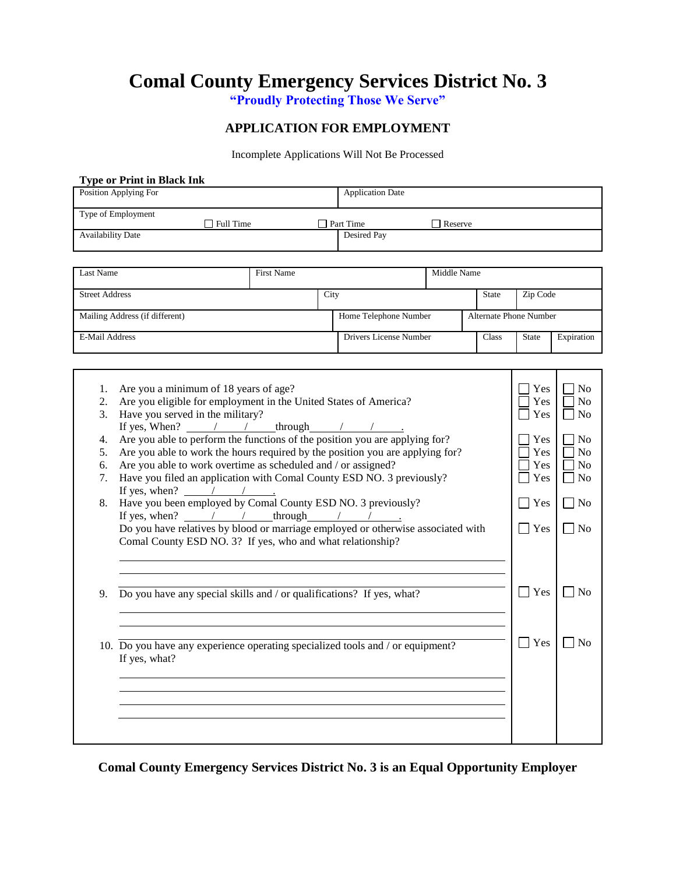**Comal County Emergency Services District No. 3**

**"Proudly Protecting Those We Serve"**

#### **APPLICATION FOR EMPLOYMENT**

Incomplete Applications Will Not Be Processed

|                                                                                                                                                                                                                                                                             |                   |      | <b>Application Date</b>                                                                                                                                                                                                               |                                                                                                                                                                    |                                                                                |                                                                                  |                                                                                                                                                   |
|-----------------------------------------------------------------------------------------------------------------------------------------------------------------------------------------------------------------------------------------------------------------------------|-------------------|------|---------------------------------------------------------------------------------------------------------------------------------------------------------------------------------------------------------------------------------------|--------------------------------------------------------------------------------------------------------------------------------------------------------------------|--------------------------------------------------------------------------------|----------------------------------------------------------------------------------|---------------------------------------------------------------------------------------------------------------------------------------------------|
|                                                                                                                                                                                                                                                                             |                   |      |                                                                                                                                                                                                                                       |                                                                                                                                                                    |                                                                                |                                                                                  |                                                                                                                                                   |
| $\Box$ Full Time                                                                                                                                                                                                                                                            |                   |      | $\Box$ Part Time<br>Desired Pay                                                                                                                                                                                                       | $\Box$ Reserve                                                                                                                                                     |                                                                                |                                                                                  |                                                                                                                                                   |
|                                                                                                                                                                                                                                                                             |                   |      |                                                                                                                                                                                                                                       |                                                                                                                                                                    |                                                                                |                                                                                  |                                                                                                                                                   |
|                                                                                                                                                                                                                                                                             | <b>First Name</b> |      |                                                                                                                                                                                                                                       | Middle Name                                                                                                                                                        |                                                                                |                                                                                  |                                                                                                                                                   |
|                                                                                                                                                                                                                                                                             |                   | City |                                                                                                                                                                                                                                       |                                                                                                                                                                    | State                                                                          | Zip Code                                                                         |                                                                                                                                                   |
|                                                                                                                                                                                                                                                                             |                   |      |                                                                                                                                                                                                                                       |                                                                                                                                                                    |                                                                                |                                                                                  |                                                                                                                                                   |
| Mailing Address (if different)                                                                                                                                                                                                                                              |                   |      | Home Telephone Number                                                                                                                                                                                                                 |                                                                                                                                                                    |                                                                                | <b>Alternate Phone Number</b>                                                    |                                                                                                                                                   |
|                                                                                                                                                                                                                                                                             |                   |      | Drivers License Number                                                                                                                                                                                                                | Class                                                                                                                                                              |                                                                                | <b>State</b>                                                                     | Expiration                                                                                                                                        |
|                                                                                                                                                                                                                                                                             |                   |      |                                                                                                                                                                                                                                       |                                                                                                                                                                    |                                                                                |                                                                                  |                                                                                                                                                   |
| Are you a minimum of 18 years of age?<br>Are you eligible for employment in the United States of America?<br>Have you served in the military?<br>If yes, When? $\sqrt{ }$<br>Are you able to work overtime as scheduled and / or assigned?<br>If yes, when? $\frac{1}{2}$ / | through           |      | Are you able to perform the functions of the position you are applying for?<br>Are you able to work the hours required by the position you are applying for?<br>Have you filed an application with Comal County ESD NO. 3 previously? |                                                                                                                                                                    |                                                                                | Yes<br>Yes<br>Yes<br>Yes<br>Yes<br>Yes<br>Yes<br>l Yes<br>  Yes                  | N <sub>0</sub><br>N <sub>o</sub><br>N <sub>0</sub><br>N <sub>0</sub><br>No<br>N <sub>0</sub><br>N <sub>0</sub><br>$\blacksquare$ No<br>$\vert$ No |
| Do you have any special skills and / or qualifications? If yes, what?<br>9.                                                                                                                                                                                                 |                   |      | Yes                                                                                                                                                                                                                                   | l INo                                                                                                                                                              |                                                                                |                                                                                  |                                                                                                                                                   |
| If yes, what?                                                                                                                                                                                                                                                               |                   |      |                                                                                                                                                                                                                                       |                                                                                                                                                                    |                                                                                | $\vert$ Yes                                                                      | No                                                                                                                                                |
|                                                                                                                                                                                                                                                                             |                   |      |                                                                                                                                                                                                                                       | Have you been employed by Comal County ESD NO. 3 previously?<br>If yes, when? $\angle$ / through / /<br>Comal County ESD NO. 3? If yes, who and what relationship? | 10. Do you have any experience operating specialized tools and / or equipment? | Do you have relatives by blood or marriage employed or otherwise associated with |                                                                                                                                                   |

**Comal County Emergency Services District No. 3 is an Equal Opportunity Employer**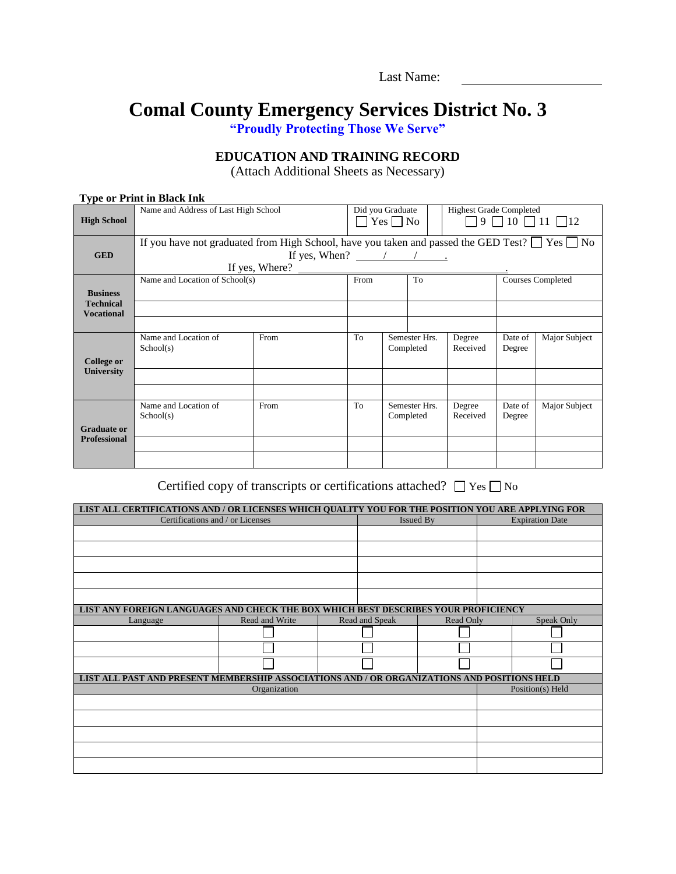# **Comal County Emergency Services District No. 3**

**"Proudly Protecting Those We Serve"**

### **EDUCATION AND TRAINING RECORD**

(Attach Additional Sheets as Necessary)

#### **Type or Print in Black Ink**

| $\Box$ 9 $\Box$ 10 $\Box$ 11 $\Box$ 12                                                                   |
|----------------------------------------------------------------------------------------------------------|
|                                                                                                          |
| If you have not graduated from High School, have you taken and passed the GED Test? $\Box$ Yes $\Box$ No |
|                                                                                                          |
|                                                                                                          |
| <b>Courses Completed</b>                                                                                 |
|                                                                                                          |
|                                                                                                          |
|                                                                                                          |
| Major Subject                                                                                            |
|                                                                                                          |
|                                                                                                          |
|                                                                                                          |
|                                                                                                          |
|                                                                                                          |
| Major Subject                                                                                            |
|                                                                                                          |
|                                                                                                          |
|                                                                                                          |
|                                                                                                          |
| Date of<br>Degree<br>Date of<br>Degree                                                                   |

Certified copy of transcripts or certifications attached?  $\Box$  Yes  $\Box$  No

| LIST ALL CERTIFICATIONS AND / OR LICENSES WHICH QUALITY YOU FOR THE POSITION YOU ARE APPLYING FOR |                |                |                  |                        |
|---------------------------------------------------------------------------------------------------|----------------|----------------|------------------|------------------------|
| Certifications and / or Licenses                                                                  |                |                | <b>Issued By</b> | <b>Expiration Date</b> |
|                                                                                                   |                |                |                  |                        |
|                                                                                                   |                |                |                  |                        |
|                                                                                                   |                |                |                  |                        |
|                                                                                                   |                |                |                  |                        |
|                                                                                                   |                |                |                  |                        |
| LIST ANY FOREIGN LANGUAGES AND CHECK THE BOX WHICH BEST DESCRIBES YOUR PROFICIENCY                |                |                |                  |                        |
| Language                                                                                          | Read and Write | Read and Speak | Read Only        | Speak Only             |
|                                                                                                   |                |                |                  |                        |
|                                                                                                   |                |                |                  |                        |
|                                                                                                   |                |                |                  |                        |
| LIST ALL PAST AND PRESENT MEMBERSHIP ASSOCIATIONS AND / OR ORGANIZATIONS AND POSITIONS HELD       |                |                |                  |                        |
|                                                                                                   | Organization   |                |                  | Position(s) Held       |
|                                                                                                   |                |                |                  |                        |
|                                                                                                   |                |                |                  |                        |
|                                                                                                   |                |                |                  |                        |
|                                                                                                   |                |                |                  |                        |
|                                                                                                   |                |                |                  |                        |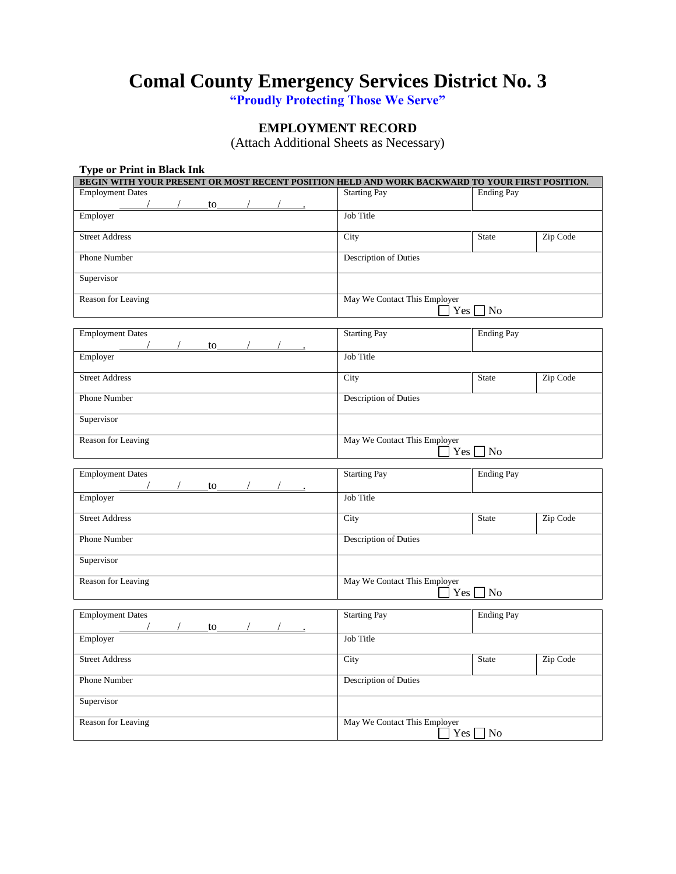## **Comal County Emergency Services District No. 3**

**"Proudly Protecting Those We Serve"**

### **EMPLOYMENT RECORD**

(Attach Additional Sheets as Necessary)

| <b>Type or Print in Black Ink</b>                                                              |                              |                    |  |
|------------------------------------------------------------------------------------------------|------------------------------|--------------------|--|
| BEGIN WITH YOUR PRESENT OR MOST RECENT POSITION HELD AND WORK BACKWARD TO YOUR FIRST POSITION. |                              |                    |  |
| <b>Employment Dates</b><br>$\overline{10}$                                                     | <b>Starting Pay</b>          | <b>Ending Pay</b>  |  |
| Employer                                                                                       | Job Title                    |                    |  |
| <b>Street Address</b>                                                                          | City                         | State<br>Zip Code  |  |
| Phone Number                                                                                   | <b>Description of Duties</b> |                    |  |
| Supervisor                                                                                     |                              |                    |  |
| Reason for Leaving                                                                             | May We Contact This Employer | $Yes \Box No$      |  |
| <b>Employment Dates</b><br>$\sqrt{2}$<br>$\sqrt{2}$<br>to                                      | <b>Starting Pay</b>          | <b>Ending Pay</b>  |  |
| Employer                                                                                       | <b>Job Title</b>             |                    |  |
| <b>Street Address</b>                                                                          | City                         | Zip Code<br>State  |  |
| Phone Number                                                                                   | Description of Duties        |                    |  |
| Supervisor                                                                                     |                              |                    |  |
| Reason for Leaving                                                                             | May We Contact This Employer | $Yes \bigsqcup No$ |  |
| <b>Employment Dates</b><br>$\sqrt{10}$ to $\sqrt{10}$                                          | <b>Starting Pay</b>          | <b>Ending Pay</b>  |  |
| Employer                                                                                       | Job Title                    |                    |  |
| <b>Street Address</b>                                                                          | City                         | Zip Code<br>State  |  |
| <b>Phone Number</b>                                                                            | <b>Description of Duties</b> |                    |  |
| Supervisor                                                                                     |                              |                    |  |
| Reason for Leaving                                                                             | May We Contact This Employer | $Yes \Box No$      |  |
| <b>Employment Dates</b><br>$\frac{1}{2}$ to $\frac{1}{2}$ /                                    | <b>Starting Pay</b>          | <b>Ending Pay</b>  |  |
| Employer                                                                                       | Job Title                    |                    |  |
| <b>Street Address</b>                                                                          | City                         | State<br>Zip Code  |  |
| Phone Number                                                                                   | Description of Duties        |                    |  |
| Supervisor                                                                                     |                              |                    |  |
| Reason for Leaving                                                                             | May We Contact This Employer | $Yes \Box No$      |  |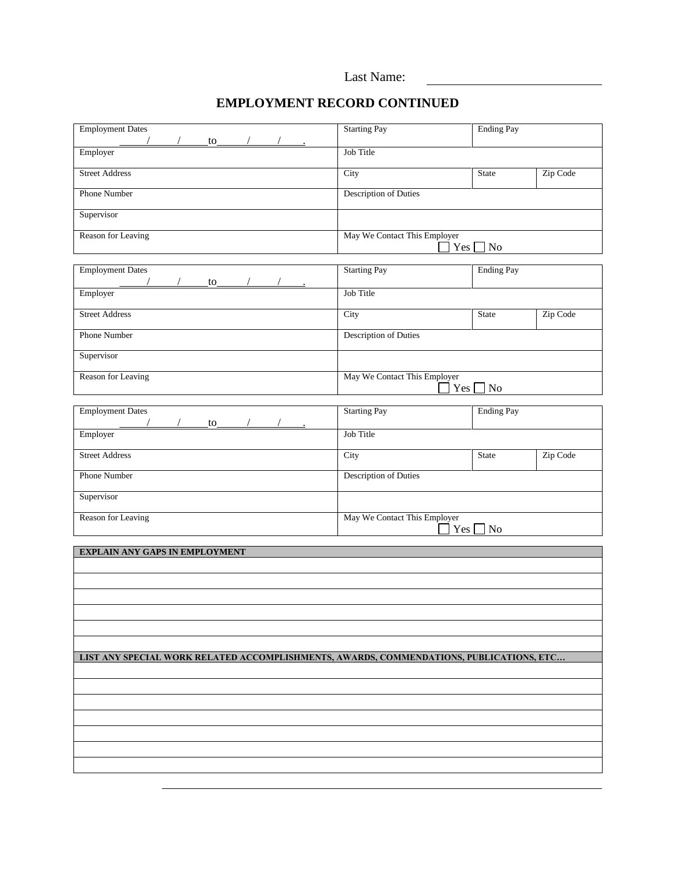|  | Last Name: |
|--|------------|
|--|------------|

### **EMPLOYMENT RECORD CONTINUED**

| <b>Employment Dates</b><br>$\frac{\text{to} \quad \text{/}}{\text{to} \quad \text{/}}$  | <b>Starting Pay</b>                 | <b>Ending Pay</b>        |
|-----------------------------------------------------------------------------------------|-------------------------------------|--------------------------|
| Employer                                                                                | Job Title                           |                          |
| <b>Street Address</b>                                                                   | City                                | Zip Code<br>State        |
| <b>Phone Number</b>                                                                     | Description of Duties               |                          |
| Supervisor                                                                              |                                     |                          |
| Reason for Leaving                                                                      | May We Contact This Employer        | $Yes \Box No$            |
| <b>Employment Dates</b><br>$\mathsf{to}$ / /<br>$\sqrt{2}$                              | <b>Starting Pay</b>                 | <b>Ending Pay</b>        |
| Employer                                                                                | Job Title                           |                          |
| <b>Street Address</b>                                                                   | City                                | Zip Code<br>State        |
| Phone Number                                                                            | Description of Duties               |                          |
| Supervisor                                                                              |                                     |                          |
| Reason for Leaving                                                                      | May We Contact This Employer        | $Yes \Box No$            |
| <b>Employment Dates</b><br>to                                                           | <b>Starting Pay</b>                 | <b>Ending Pay</b>        |
| Employer                                                                                | Job Title                           |                          |
| <b>Street Address</b>                                                                   | City                                | Zip Code<br><b>State</b> |
| Phone Number                                                                            | Description of Duties               |                          |
| Supervisor                                                                              |                                     |                          |
| Reason for Leaving                                                                      | May We Contact This Employer<br>Yes | N <sub>0</sub>           |
| <b>EXPLAIN ANY GAPS IN EMPLOYMENT</b>                                                   |                                     |                          |
|                                                                                         |                                     |                          |
|                                                                                         |                                     |                          |
|                                                                                         |                                     |                          |
|                                                                                         |                                     |                          |
| LIST ANY SPECIAL WORK RELATED ACCOMPLISHMENTS, AWARDS, COMMENDATIONS, PUBLICATIONS, ETC |                                     |                          |
|                                                                                         |                                     |                          |
|                                                                                         |                                     |                          |
|                                                                                         |                                     |                          |
|                                                                                         |                                     |                          |
|                                                                                         |                                     |                          |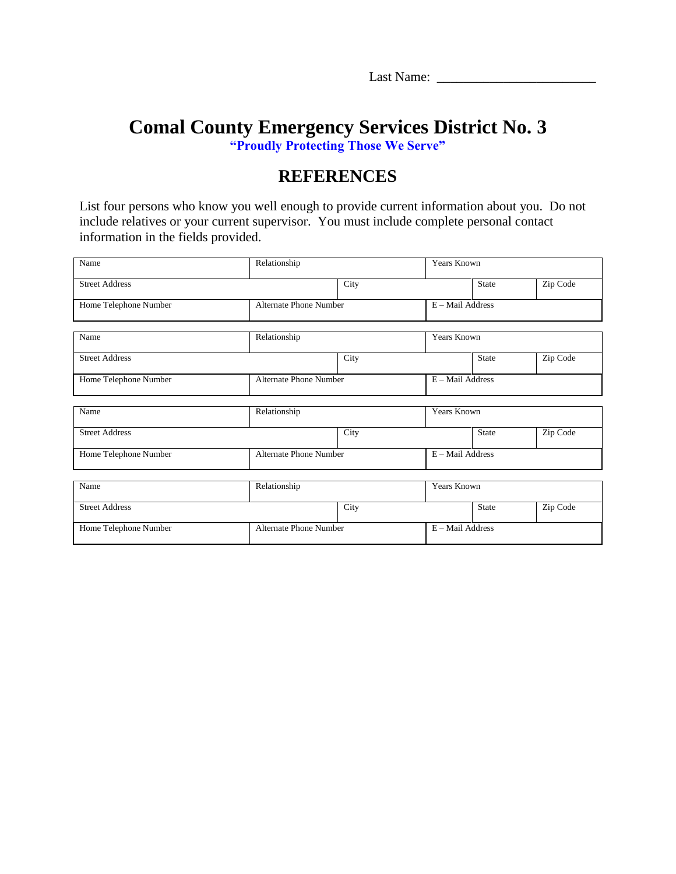Last Name: \_\_\_\_\_\_\_\_\_\_\_\_\_\_\_\_\_\_\_\_\_\_\_\_

### **Comal County Emergency Services District No. 3 "Proudly Protecting Those We Serve"**

## **REFERENCES**

List four persons who know you well enough to provide current information about you. Do not include relatives or your current supervisor. You must include complete personal contact information in the fields provided.

| Name                  | Relationship                  |                               |                    | <b>Years Known</b> |          |  |
|-----------------------|-------------------------------|-------------------------------|--------------------|--------------------|----------|--|
| <b>Street Address</b> |                               | City                          |                    | <b>State</b>       | Zip Code |  |
| Home Telephone Number |                               | <b>Alternate Phone Number</b> |                    | E - Mail Address   |          |  |
| Name                  | Relationship                  |                               | <b>Years Known</b> |                    |          |  |
| <b>Street Address</b> |                               | City                          |                    | <b>State</b>       | Zip Code |  |
| Home Telephone Number |                               | <b>Alternate Phone Number</b> |                    | E - Mail Address   |          |  |
| Name                  | Relationship                  |                               | <b>Years Known</b> |                    |          |  |
| <b>Street Address</b> |                               | City                          |                    | <b>State</b>       | Zip Code |  |
| Home Telephone Number |                               | <b>Alternate Phone Number</b> |                    | E - Mail Address   |          |  |
| Name                  | Relationship                  |                               | Years Known        |                    |          |  |
| <b>Street Address</b> |                               | City                          |                    | <b>State</b>       | Zip Code |  |
| Home Telephone Number | <b>Alternate Phone Number</b> |                               | E - Mail Address   |                    |          |  |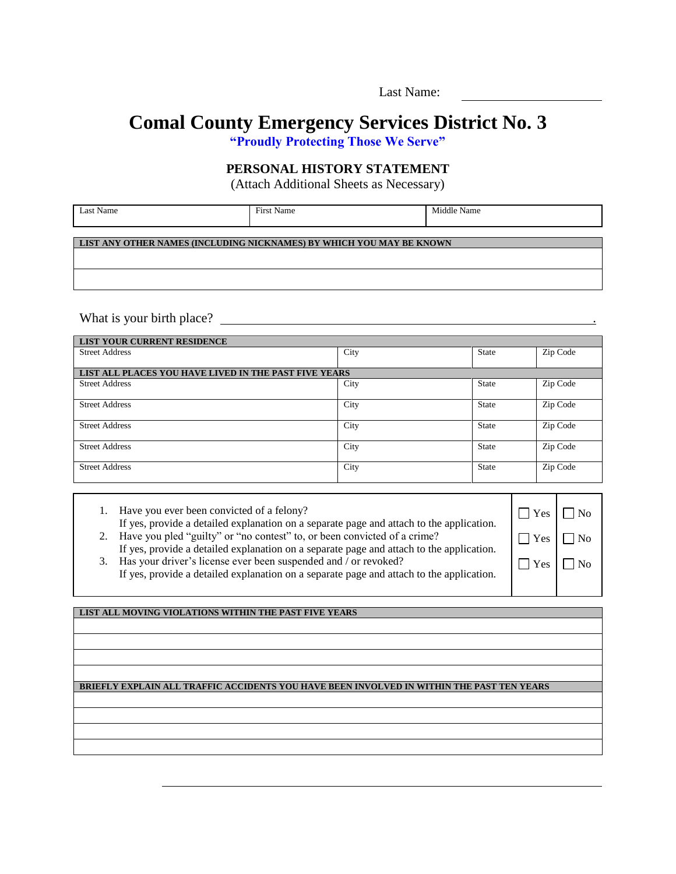## **Comal County Emergency Services District No. 3**

**"Proudly Protecting Those We Serve"**

#### **PERSONAL HISTORY STATEMENT**

(Attach Additional Sheets as Necessary)

| Last Name | ÷<br>First Name | . .<br>Middle 1<br>Name |
|-----------|-----------------|-------------------------|
|           |                 |                         |

**LIST ANY OTHER NAMES (INCLUDING NICKNAMES) BY WHICH YOU MAY BE KNOWN**

What is your birth place? .

| <b>LIST YOUR CURRENT RESIDENCE</b>                    |      |              |          |  |  |  |
|-------------------------------------------------------|------|--------------|----------|--|--|--|
| <b>Street Address</b>                                 | City | <b>State</b> | Zip Code |  |  |  |
|                                                       |      |              |          |  |  |  |
| LIST ALL PLACES YOU HAVE LIVED IN THE PAST FIVE YEARS |      |              |          |  |  |  |
| <b>Street Address</b>                                 | City | State        | Zip Code |  |  |  |
| <b>Street Address</b>                                 | City | State        | Zip Code |  |  |  |
| <b>Street Address</b>                                 | City | State        | Zip Code |  |  |  |
| <b>Street Address</b>                                 | City | State        | Zip Code |  |  |  |
| <b>Street Address</b>                                 | City | State        | Zip Code |  |  |  |

| 1. Have you ever been convicted of a felony?<br>If yes, provide a detailed explanation on a separate page and attach to the application.<br>2. Have you pled "guilty" or "no contest" to, or been convicted of a crime?<br>If yes, provide a detailed explanation on a separate page and attach to the application.<br>3. Has your driver's license ever been suspended and / or revoked?<br>If yes, provide a detailed explanation on a separate page and attach to the application. | Yes<br>Yes<br>Yes |  |
|---------------------------------------------------------------------------------------------------------------------------------------------------------------------------------------------------------------------------------------------------------------------------------------------------------------------------------------------------------------------------------------------------------------------------------------------------------------------------------------|-------------------|--|
|                                                                                                                                                                                                                                                                                                                                                                                                                                                                                       |                   |  |

**LIST ALL MOVING VIOLATIONS WITHIN THE PAST FIVE YEARS**

#### **BRIEFLY EXPLAIN ALL TRAFFIC ACCIDENTS YOU HAVE BEEN INVOLVED IN WITHIN THE PAST TEN YEARS**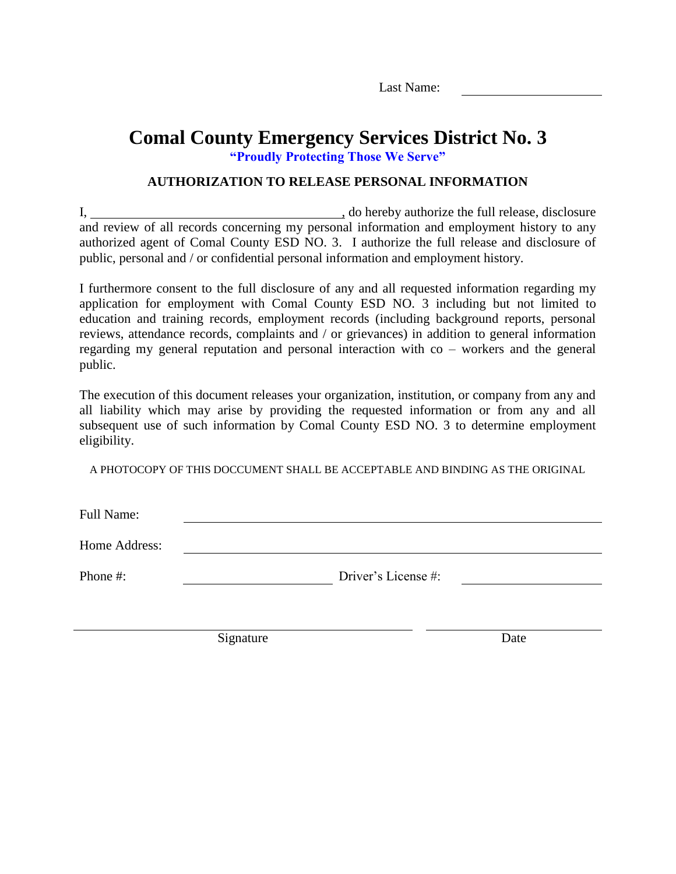### **Comal County Emergency Services District No. 3 "Proudly Protecting Those We Serve"**

### **AUTHORIZATION TO RELEASE PERSONAL INFORMATION**

I, , do hereby authorize the full release, disclosure and review of all records concerning my personal information and employment history to any authorized agent of Comal County ESD NO. 3. I authorize the full release and disclosure of public, personal and / or confidential personal information and employment history.

I furthermore consent to the full disclosure of any and all requested information regarding my application for employment with Comal County ESD NO. 3 including but not limited to education and training records, employment records (including background reports, personal reviews, attendance records, complaints and / or grievances) in addition to general information regarding my general reputation and personal interaction with co – workers and the general public.

The execution of this document releases your organization, institution, or company from any and all liability which may arise by providing the requested information or from any and all subsequent use of such information by Comal County ESD NO. 3 to determine employment eligibility.

A PHOTOCOPY OF THIS DOCCUMENT SHALL BE ACCEPTABLE AND BINDING AS THE ORIGINAL

Full Name:

Home Address:

Phone #: Driver's License #:

Signature Date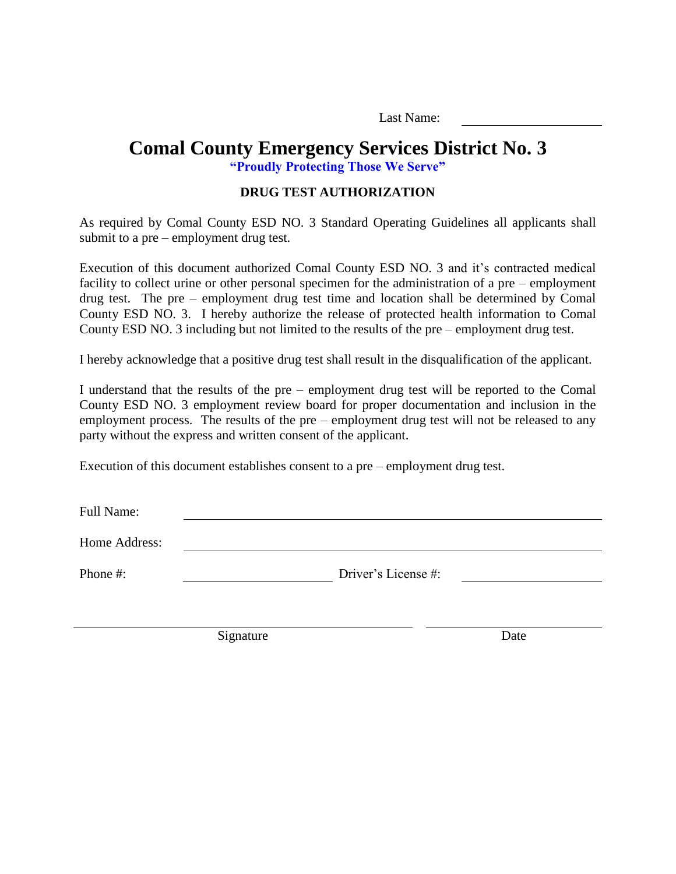## **Comal County Emergency Services District No. 3**

**"Proudly Protecting Those We Serve"**

#### **DRUG TEST AUTHORIZATION**

As required by Comal County ESD NO. 3 Standard Operating Guidelines all applicants shall submit to a pre – employment drug test.

Execution of this document authorized Comal County ESD NO. 3 and it's contracted medical facility to collect urine or other personal specimen for the administration of a pre – employment drug test. The pre – employment drug test time and location shall be determined by Comal County ESD NO. 3. I hereby authorize the release of protected health information to Comal County ESD NO. 3 including but not limited to the results of the pre – employment drug test.

I hereby acknowledge that a positive drug test shall result in the disqualification of the applicant.

I understand that the results of the pre – employment drug test will be reported to the Comal County ESD NO. 3 employment review board for proper documentation and inclusion in the employment process. The results of the pre – employment drug test will not be released to any party without the express and written consent of the applicant.

Execution of this document establishes consent to a pre – employment drug test.

Full Name:

Home Address:

Phone #: Driver's License #:

Signature Date